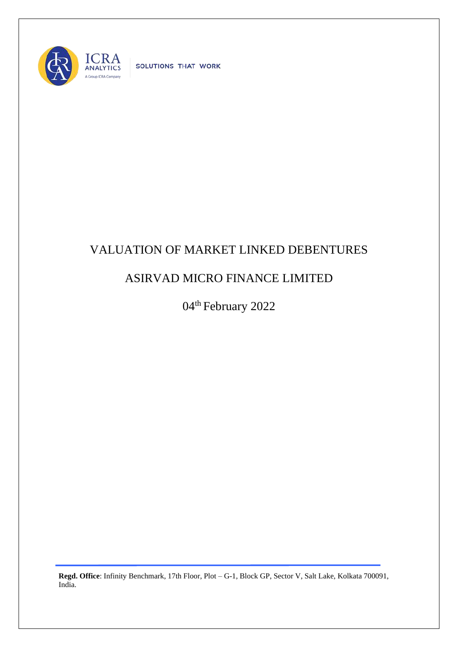

SOLUTIONS THAT WORK

## VALUATION OF MARKET LINKED DEBENTURES

## ASIRVAD MICRO FINANCE LIMITED

04<sup>th</sup> February 2022

**Regd. Office**: Infinity Benchmark, 17th Floor, Plot – G-1, Block GP, Sector V, Salt Lake, Kolkata 700091, India.